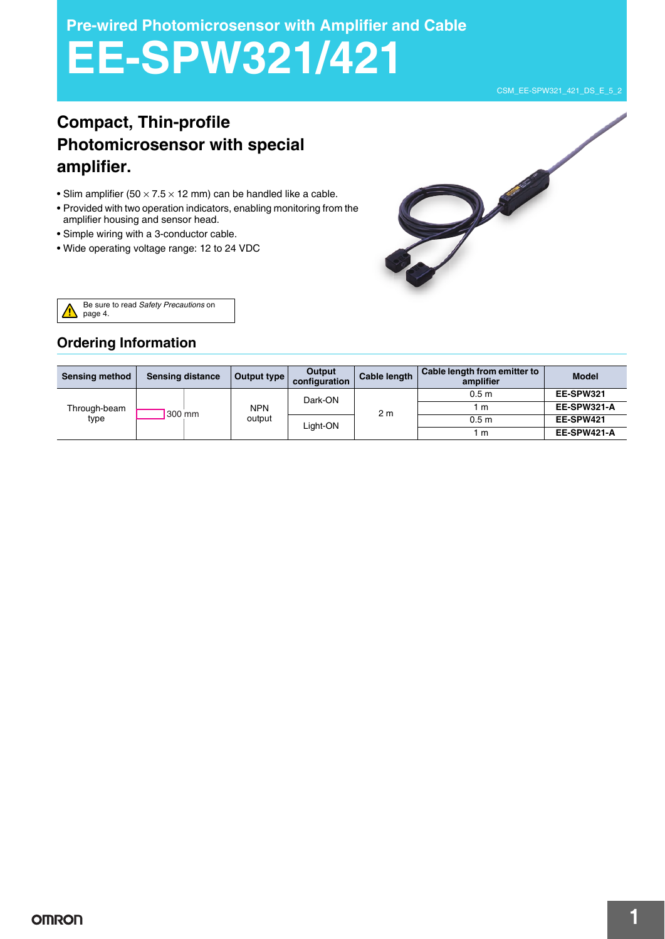**Pre-wired Photomicrosensor with Amplifier and Cable**

# **EE-SPW321/421**

# **Compact, Thin-profile Photomicrosensor with special amplifier.**

- Slim amplifier (50  $\times$  7.5  $\times$  12 mm) can be handled like a cable.
- Provided with two operation indicators, enabling monitoring from the amplifier housing and sensor head.
- Simple wiring with a 3-conductor cable.
- Wide operating voltage range: 12 to 24 VDC



Be sure to read *Safety Precautions* on page 4.

# **Ordering Information**

| <b>Sensing method</b> | <b>Sensing distance</b> | Output type | Output<br>configuration | Cable length   | Cable length from emitter to<br>amplifier | <b>Model</b> |
|-----------------------|-------------------------|-------------|-------------------------|----------------|-------------------------------------------|--------------|
| Through-beam<br>type  |                         |             | Dark-ON                 | 2 <sub>m</sub> | 0.5 <sub>m</sub>                          | EE-SPW321    |
|                       |                         | <b>NPN</b>  |                         |                | 1 m                                       | EE-SPW321-A  |
|                       | 300 mm                  | output      | Light-ON                |                | 0.5 <sub>m</sub>                          | EE-SPW421    |
|                       |                         |             |                         |                | l m                                       | EE-SPW421-A  |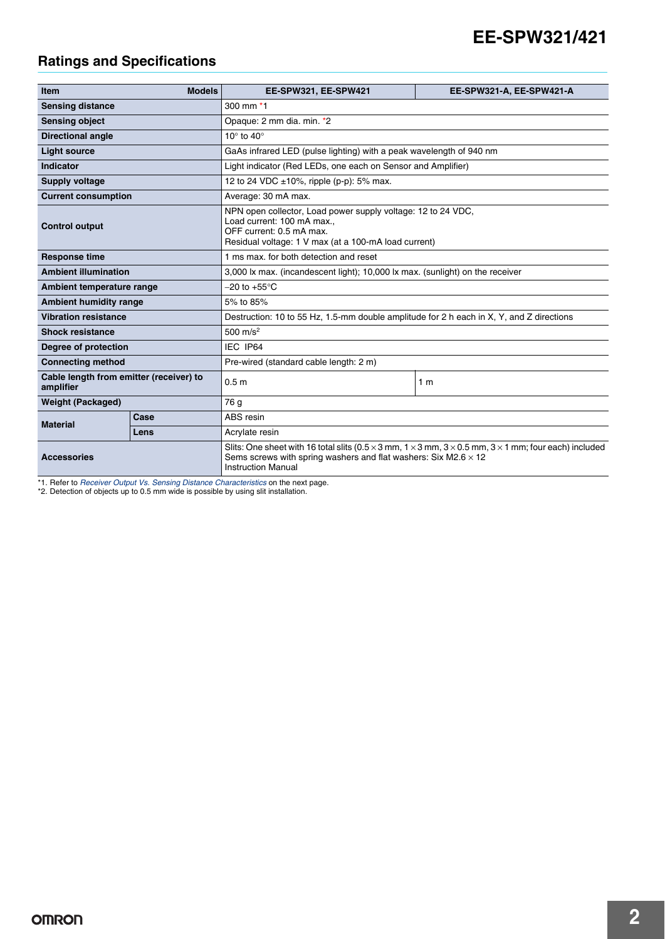# **EE-SPW321/421**

# **Ratings and Specifications**

| <b>Item</b>                                          | <b>Models</b> | EE-SPW321, EE-SPW421                                                                                                                                                                                                                     | EE-SPW321-A, EE-SPW421-A |  |
|------------------------------------------------------|---------------|------------------------------------------------------------------------------------------------------------------------------------------------------------------------------------------------------------------------------------------|--------------------------|--|
| <b>Sensing distance</b>                              |               | 300 mm *1                                                                                                                                                                                                                                |                          |  |
| <b>Sensing object</b>                                |               | Opaque: 2 mm dia. min. *2                                                                                                                                                                                                                |                          |  |
| <b>Directional angle</b>                             |               | 10 $\degree$ to 40 $\degree$                                                                                                                                                                                                             |                          |  |
| <b>Light source</b>                                  |               | GaAs infrared LED (pulse lighting) with a peak wavelength of 940 nm                                                                                                                                                                      |                          |  |
| Indicator                                            |               | Light indicator (Red LEDs, one each on Sensor and Amplifier)                                                                                                                                                                             |                          |  |
| Supply voltage                                       |               | 12 to 24 VDC $\pm$ 10%, ripple (p-p): 5% max.                                                                                                                                                                                            |                          |  |
| <b>Current consumption</b>                           |               | Average: 30 mA max.                                                                                                                                                                                                                      |                          |  |
| <b>Control output</b>                                |               | NPN open collector, Load power supply voltage: 12 to 24 VDC,<br>Load current: 100 mA max<br>OFF current: 0.5 mA max.<br>Residual voltage: 1 V max (at a 100-mA load current)                                                             |                          |  |
| <b>Response time</b>                                 |               | 1 ms max, for both detection and reset                                                                                                                                                                                                   |                          |  |
| <b>Ambient illumination</b>                          |               | 3,000 lx max. (incandescent light); 10,000 lx max. (sunlight) on the receiver                                                                                                                                                            |                          |  |
| Ambient temperature range                            |               | $-20$ to $+55^{\circ}$ C                                                                                                                                                                                                                 |                          |  |
| <b>Ambient humidity range</b>                        |               | 5% to 85%                                                                                                                                                                                                                                |                          |  |
| <b>Vibration resistance</b>                          |               | Destruction: 10 to 55 Hz, 1.5-mm double amplitude for 2 h each in X, Y, and Z directions                                                                                                                                                 |                          |  |
| <b>Shock resistance</b>                              |               | 500 $m/s^2$                                                                                                                                                                                                                              |                          |  |
| Degree of protection                                 |               | IEC IP64                                                                                                                                                                                                                                 |                          |  |
| <b>Connecting method</b>                             |               | Pre-wired (standard cable length: 2 m)                                                                                                                                                                                                   |                          |  |
| Cable length from emitter (receiver) to<br>amplifier |               | 0.5 <sub>m</sub>                                                                                                                                                                                                                         | 1 <sub>m</sub>           |  |
| <b>Weight (Packaged)</b>                             |               | 76 g                                                                                                                                                                                                                                     |                          |  |
| <b>Material</b>                                      | Case          | ABS resin                                                                                                                                                                                                                                |                          |  |
|                                                      | Lens          | Acrylate resin                                                                                                                                                                                                                           |                          |  |
| <b>Accessories</b>                                   |               | Slits: One sheet with 16 total slits (0.5 $\times$ 3 mm, 1 $\times$ 3 mm, 3 $\times$ 0.5 mm, 3 $\times$ 1 mm; four each) included<br>Sems screws with spring washers and flat washers: Six M2.6 $\times$ 12<br><b>Instruction Manual</b> |                          |  |

\*1. Refer to *Receiver Output Vs. Sensing Distance Characteristics* on the next page. \*2. Detection of objects up to 0.5 mm wide is possible by using slit installation.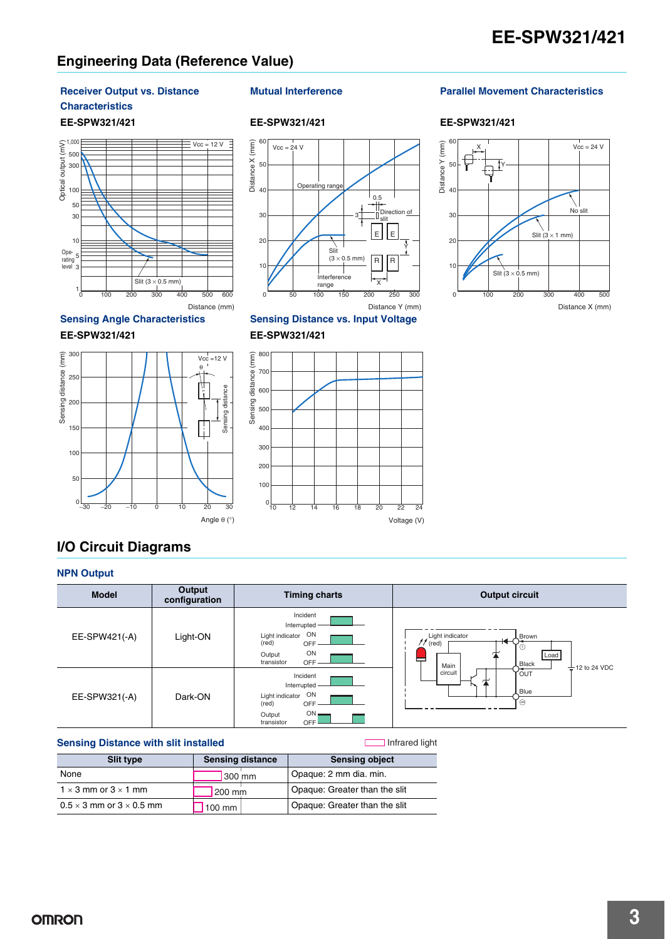# **Engineering Data (Reference Value)**

# **Receiver Output vs. Distance**

#### **Characteristics**







#### **Sensing Angle Characteristics Sensing Distance vs. Input Voltage**

## **EE-SPW321/421 EE-SPW321/421**



## **Mutual Interference Parallel Movement Characteristics**

#### **EE-SPW321/421 EE-SPW321/421 EE-SPW321/421**



# **I/O Circuit Diagrams**

#### **NPN Output Model Output configuration Timing charts COLOGY COLOGY COLOGY** Incident Interrupted EE-SPW421(-A) Light-ON Light indicator ON Light indicator<br>(red) [ Brown (red) OFF ON Load i, Output transistor OFF Main **Black** 12 to 24 VDC Incident circui **POUT** 体 Interrupted Blue EE-SPW321(-A) Dark-ON Light indicator ON (red) OFF ON Output transistor OFF

## **Sensing Distance with slit installed**

Infrared light

| Slit type                              | <b>Sensing distance</b> | <b>Sensing object</b>         |
|----------------------------------------|-------------------------|-------------------------------|
| None                                   | $1300$ mm               | Opaque: 2 mm dia. min.        |
| $1 \times 3$ mm or $3 \times 1$ mm     | 200 mm                  | Opaque: Greater than the slit |
| $0.5 \times 3$ mm or $3 \times 0.5$ mm | 1100 mm                 | Opaque: Greater than the slit |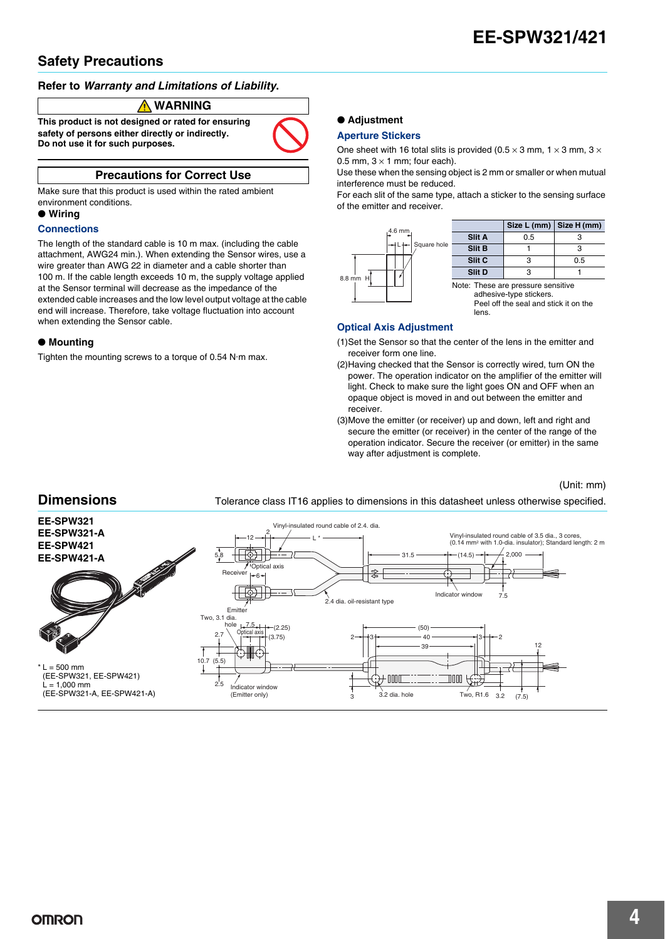# **Safety Precautions**

#### **Refer to** *Warranty and Limitations of Liability***.**

#### **WARNING**

**This product is not designed or rated for ensuring safety of persons either directly or indirectly. Do not use it for such purposes.**

# **Precautions for Correct Use**

Make sure that this product is used within the rated ambient environment conditions.

## ● **Wiring**

#### **Connections**

The length of the standard cable is 10 m max. (including the cable attachment, AWG24 min.). When extending the Sensor wires, use a wire greater than AWG 22 in diameter and a cable shorter than 100 m. If the cable length exceeds 10 m, the supply voltage applied at the Sensor terminal will decrease as the impedance of the extended cable increases and the low level output voltage at the cable end will increase. Therefore, take voltage fluctuation into account when extending the Sensor cable.

#### ● **Mounting**

Tighten the mounting screws to a torque of 0.54 N·m max.

## ● **Adjustment**

#### **Aperture Stickers**

One sheet with 16 total slits is provided (0.5  $\times$  3 mm, 1  $\times$  3 mm, 3  $\times$ 0.5 mm,  $3 \times 1$  mm; four each).

Use these when the sensing object is 2 mm or smaller or when mutual interference must be reduced.

For each slit of the same type, attach a sticker to the sensing surface of the emitter and receiver.



#### **Optical Axis Adjustment**

- (1)Set the Sensor so that the center of the lens in the emitter and receiver form one line.
- (2)Having checked that the Sensor is correctly wired, turn ON the power. The operation indicator on the amplifier of the emitter will light. Check to make sure the light goes ON and OFF when an opaque object is moved in and out between the emitter and receiver.
- (3)Move the emitter (or receiver) up and down, left and right and secure the emitter (or receiver) in the center of the range of the operation indicator. Secure the receiver (or emitter) in the same way after adjustment is complete.

(Unit: mm)